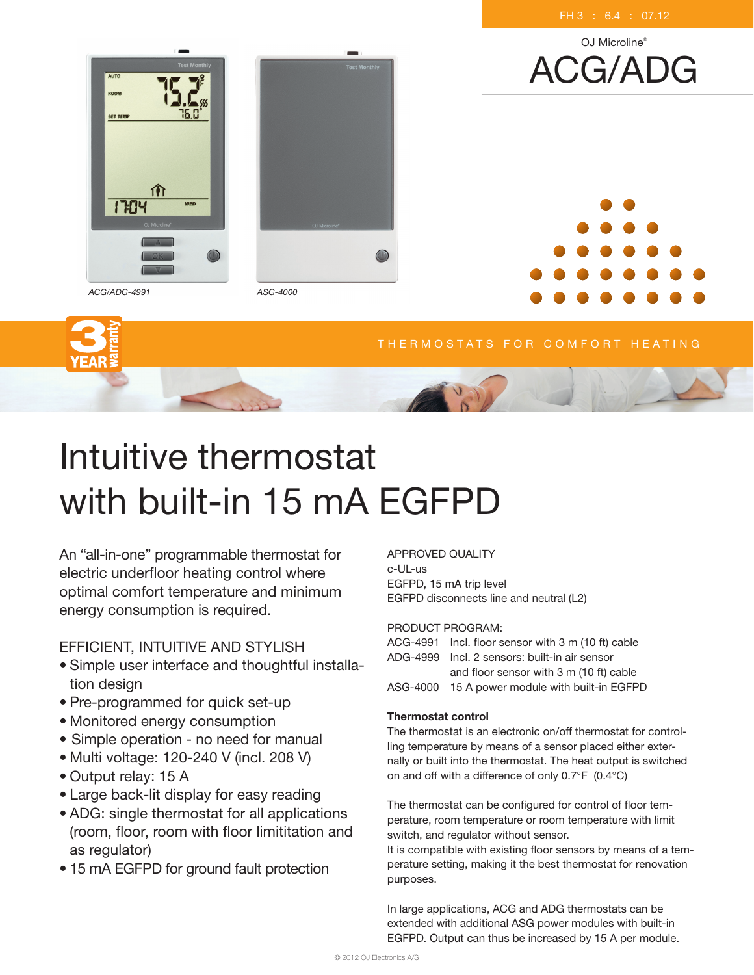

# Intuitive thermostat with built-in 15 mA EGFPD

An "all-in-one" programmable thermostat for electric underfloor heating control where optimal comfort temperature and minimum energy consumption is required.

## Efficient, intuitive and stylish

- Simple user interface and thoughtful installation design
- Pre-programmed for quick set-up
- Monitored energy consumption
- Simple operation no need for manual
- Multi voltage: 120-240 V (incl. 208 V)
- Output relay: 15 A
- Large back-lit display for easy reading
- ADG: single thermostat for all applications (room, floor, room with floor limititation and as regulator)
- 15 mA EGFPD for ground fault protection

## Approved quality c-UL-us

EGFPD, 15 mA trip level EGFPD disconnects line and neutral (L2)

## Product program:

ACG-4991 Incl. floor sensor with 3 m (10 ft) cable ADG-4999 Incl. 2 sensors: built-in air sensor and floor sensor with 3 m (10 ft) cable ASG-4000 15 A power module with built-in EGFPD

## Thermostat control

The thermostat is an electronic on/off thermostat for controlling temperature by means of a sensor placed either externally or built into the thermostat. The heat output is switched on and off with a difference of only 0.7°F (0.4°C)

The thermostat can be configured for control of floor temperature, room temperature or room temperature with limit switch, and regulator without sensor.

It is compatible with existing floor sensors by means of a temperature setting, making it the best thermostat for renovation purposes.

In large applications, ACG and ADG thermostats can be extended with additional ASG power modules with built-in EGFPD. Output can thus be increased by 15 A per module.